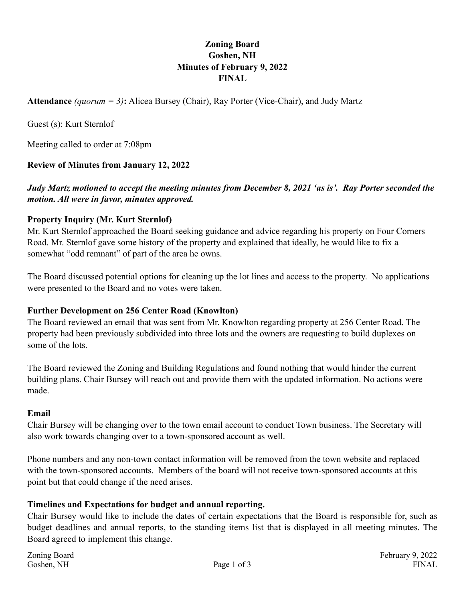### **Zoning Board Goshen, NH Minutes of February 9, 2022 FINAL**

**Attendance** *(quorum = 3)***:** Alicea Bursey (Chair), Ray Porter (Vice-Chair), and Judy Martz

Guest (s): Kurt Sternlof

Meeting called to order at 7:08pm

### **Review of Minutes from January 12, 2022**

*Judy Martz motioned to accept the meeting minutes from December 8, 2021 'as is'. Ray Porter seconded the motion. All were in favor, minutes approved.* 

### **Property Inquiry (Mr. Kurt Sternlof)**

Mr. Kurt Sternlof approached the Board seeking guidance and advice regarding his property on Four Corners Road. Mr. Sternlof gave some history of the property and explained that ideally, he would like to fix a somewhat "odd remnant" of part of the area he owns.

The Board discussed potential options for cleaning up the lot lines and access to the property. No applications were presented to the Board and no votes were taken.

### **Further Development on 256 Center Road (Knowlton)**

The Board reviewed an email that was sent from Mr. Knowlton regarding property at 256 Center Road. The property had been previously subdivided into three lots and the owners are requesting to build duplexes on some of the lots.

The Board reviewed the Zoning and Building Regulations and found nothing that would hinder the current building plans. Chair Bursey will reach out and provide them with the updated information. No actions were made.

### **Email**

Chair Bursey will be changing over to the town email account to conduct Town business. The Secretary will also work towards changing over to a town-sponsored account as well.

Phone numbers and any non-town contact information will be removed from the town website and replaced with the town-sponsored accounts. Members of the board will not receive town-sponsored accounts at this point but that could change if the need arises.

### **Timelines and Expectations for budget and annual reporting.**

Chair Bursey would like to include the dates of certain expectations that the Board is responsible for, such as budget deadlines and annual reports, to the standing items list that is displayed in all meeting minutes. The Board agreed to implement this change.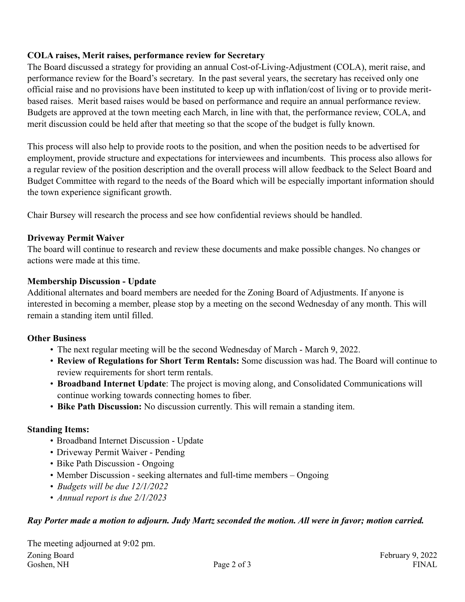### **COLA raises, Merit raises, performance review for Secretary**

The Board discussed a strategy for providing an annual Cost-of-Living-Adjustment (COLA), merit raise, and performance review for the Board's secretary. In the past several years, the secretary has received only one official raise and no provisions have been instituted to keep up with inflation/cost of living or to provide meritbased raises. Merit based raises would be based on performance and require an annual performance review. Budgets are approved at the town meeting each March, in line with that, the performance review, COLA, and merit discussion could be held after that meeting so that the scope of the budget is fully known.

This process will also help to provide roots to the position, and when the position needs to be advertised for employment, provide structure and expectations for interviewees and incumbents. This process also allows for a regular review of the position description and the overall process will allow feedback to the Select Board and Budget Committee with regard to the needs of the Board which will be especially important information should the town experience significant growth.

Chair Bursey will research the process and see how confidential reviews should be handled.

## **Driveway Permit Waiver**

The board will continue to research and review these documents and make possible changes. No changes or actions were made at this time.

## **Membership Discussion - Update**

Additional alternates and board members are needed for the Zoning Board of Adjustments. If anyone is interested in becoming a member, please stop by a meeting on the second Wednesday of any month. This will remain a standing item until filled.

### **Other Business**

- The next regular meeting will be the second Wednesday of March March 9, 2022.
- **Review of Regulations for Short Term Rentals:** Some discussion was had. The Board will continue to review requirements for short term rentals.
- **Broadband Internet Update**: The project is moving along, and Consolidated Communications will continue working towards connecting homes to fiber.
- **Bike Path Discussion:** No discussion currently. This will remain a standing item.

# **Standing Items:**

- Broadband Internet Discussion Update
- Driveway Permit Waiver Pending
- Bike Path Discussion Ongoing
- Member Discussion seeking alternates and full-time members Ongoing
- *Budgets will be due 12/1/2022*
- *Annual report is due 2/1/2023*

# *Ray Porter made a motion to adjourn. Judy Martz seconded the motion. All were in favor; motion carried.*

The meeting adjourned at 9:02 pm. Zoning Board